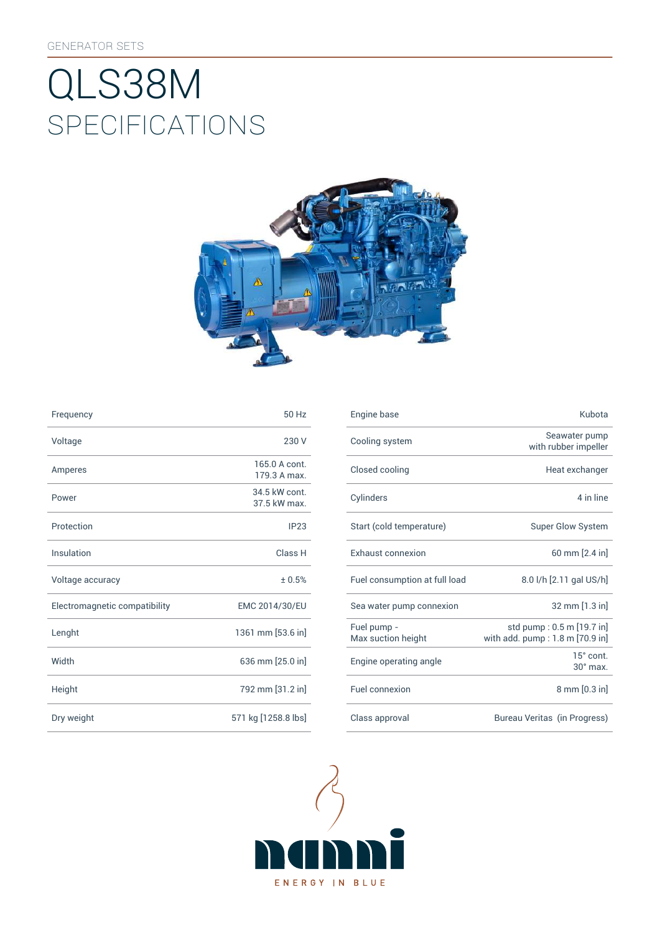# SpEcificATiONS QLS38M



| Frequency                     | 50 Hz                         | Engine base                |
|-------------------------------|-------------------------------|----------------------------|
| Voltage                       | 230 V                         | Cooling syst               |
| Amperes                       | 165.0 A cont.<br>179.3 A max. | Closed cooli               |
| Power                         | 34.5 kW cont.<br>37.5 kW max. | Cylinders                  |
| Protection                    | IP23                          | Start (cold te             |
| Insulation                    | Class H                       | Exhaust con                |
| Voltage accuracy              | ± 0.5%                        | Fuel consum                |
| Electromagnetic compatibility | EMC 2014/30/EU                | Sea water pu               |
| Lenght                        | 1361 mm [53.6 in]             | Fuel pump -<br>Max suction |
| Width                         | 636 mm [25.0 in]              | Engine opera               |
| Height                        | 792 mm [31.2 in]              | Fuel connexi               |
| Dry weight                    | 571 kg [1258.8 lbs]           | Class approv               |

| Frequency                     | 50 Hz                         | Engine base                       | Kubota                                                       |
|-------------------------------|-------------------------------|-----------------------------------|--------------------------------------------------------------|
| Voltage                       | 230 V                         | Cooling system                    | Seawater pump<br>with rubber impeller                        |
| Amperes                       | 165.0 A cont.<br>179.3 A max. | Closed cooling                    | Heat exchanger                                               |
| Power                         | 34.5 kW cont.<br>37.5 kW max. | Cylinders                         | 4 in line                                                    |
| Protection                    | IP23                          | Start (cold temperature)          | Super Glow System                                            |
| Insulation                    | Class H                       | Exhaust connexion                 | 60 mm [2.4 in]                                               |
| Voltage accuracy              | ± 0.5%                        | Fuel consumption at full load     | 8.0 l/h [2.11 gal US/h]                                      |
| Electromagnetic compatibility | EMC 2014/30/EU                | Sea water pump connexion          | 32 mm [1.3 in]                                               |
| Lenght                        | 1361 mm [53.6 in]             | Fuel pump -<br>Max suction height | std pump: 0.5 m [19.7 in]<br>with add. pump: 1.8 m [70.9 in] |
| Width                         | 636 mm [25.0 in]              | Engine operating angle            | 15° cont.<br>$30^\circ$ max.                                 |
| Height                        | 792 mm [31.2 in]              | Fuel connexion                    | $8 \text{ mm} [0.3 \text{ in}]$                              |
| Dry weight                    | 571 kg [1258.8 lbs]           | Class approval                    | Bureau Veritas (in Progress)                                 |